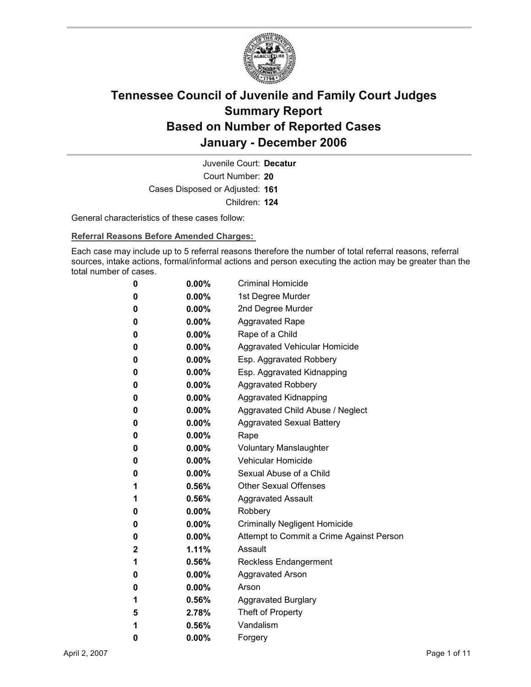

Court Number: **20** Juvenile Court: **Decatur** Cases Disposed or Adjusted: **161** Children: **124**

General characteristics of these cases follow:

**Referral Reasons Before Amended Charges:** 

Each case may include up to 5 referral reasons therefore the number of total referral reasons, referral sources, intake actions, formal/informal actions and person executing the action may be greater than the total number of cases.

| 0 | 0.00%    | <b>Criminal Homicide</b>                 |
|---|----------|------------------------------------------|
| 0 | $0.00\%$ | 1st Degree Murder                        |
| 0 | $0.00\%$ | 2nd Degree Murder                        |
| 0 | $0.00\%$ | <b>Aggravated Rape</b>                   |
| 0 | 0.00%    | Rape of a Child                          |
| 0 | $0.00\%$ | <b>Aggravated Vehicular Homicide</b>     |
| 0 | $0.00\%$ | Esp. Aggravated Robbery                  |
| 0 | $0.00\%$ | Esp. Aggravated Kidnapping               |
| 0 | $0.00\%$ | <b>Aggravated Robbery</b>                |
| 0 | $0.00\%$ | <b>Aggravated Kidnapping</b>             |
| 0 | $0.00\%$ | Aggravated Child Abuse / Neglect         |
| 0 | 0.00%    | <b>Aggravated Sexual Battery</b>         |
| 0 | 0.00%    | Rape                                     |
| 0 | $0.00\%$ | <b>Voluntary Manslaughter</b>            |
| 0 | $0.00\%$ | <b>Vehicular Homicide</b>                |
| 0 | $0.00\%$ | Sexual Abuse of a Child                  |
| 1 | $0.56\%$ | <b>Other Sexual Offenses</b>             |
| 1 | $0.56\%$ | <b>Aggravated Assault</b>                |
| 0 | $0.00\%$ | Robbery                                  |
| 0 | 0.00%    | <b>Criminally Negligent Homicide</b>     |
| 0 | 0.00%    | Attempt to Commit a Crime Against Person |
| 2 | 1.11%    | Assault                                  |
| 1 | 0.56%    | <b>Reckless Endangerment</b>             |
| 0 | $0.00\%$ | <b>Aggravated Arson</b>                  |
| 0 | $0.00\%$ | Arson                                    |
| 1 | 0.56%    | <b>Aggravated Burglary</b>               |
| 5 | 2.78%    | Theft of Property                        |
| 1 | 0.56%    | Vandalism                                |
| 0 | 0.00%    | Forgery                                  |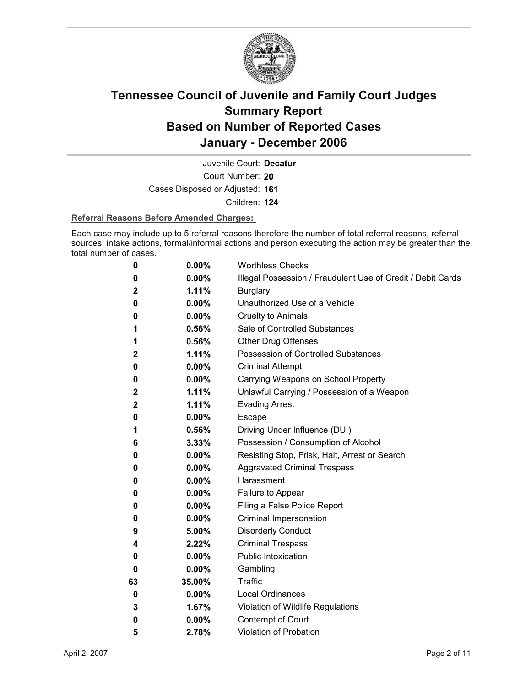

Court Number: **20** Juvenile Court: **Decatur**

Cases Disposed or Adjusted: **161**

Children: **124**

#### **Referral Reasons Before Amended Charges:**

Each case may include up to 5 referral reasons therefore the number of total referral reasons, referral sources, intake actions, formal/informal actions and person executing the action may be greater than the total number of cases.

| 0  | 0.00%    | <b>Worthless Checks</b>                                     |
|----|----------|-------------------------------------------------------------|
| 0  | $0.00\%$ | Illegal Possession / Fraudulent Use of Credit / Debit Cards |
| 2  | 1.11%    | <b>Burglary</b>                                             |
| 0  | $0.00\%$ | Unauthorized Use of a Vehicle                               |
| 0  | $0.00\%$ | <b>Cruelty to Animals</b>                                   |
| 1  | 0.56%    | Sale of Controlled Substances                               |
| 1  | $0.56\%$ | <b>Other Drug Offenses</b>                                  |
| 2  | 1.11%    | Possession of Controlled Substances                         |
| 0  | $0.00\%$ | <b>Criminal Attempt</b>                                     |
| 0  | $0.00\%$ | Carrying Weapons on School Property                         |
| 2  | 1.11%    | Unlawful Carrying / Possession of a Weapon                  |
| 2  | 1.11%    | <b>Evading Arrest</b>                                       |
| 0  | $0.00\%$ | Escape                                                      |
| 1  | $0.56\%$ | Driving Under Influence (DUI)                               |
| 6  | $3.33\%$ | Possession / Consumption of Alcohol                         |
| 0  | $0.00\%$ | Resisting Stop, Frisk, Halt, Arrest or Search               |
| 0  | $0.00\%$ | <b>Aggravated Criminal Trespass</b>                         |
| 0  | $0.00\%$ | Harassment                                                  |
| 0  | 0.00%    | Failure to Appear                                           |
| 0  | $0.00\%$ | Filing a False Police Report                                |
| 0  | $0.00\%$ | Criminal Impersonation                                      |
| 9  | 5.00%    | <b>Disorderly Conduct</b>                                   |
| 4  | $2.22\%$ | <b>Criminal Trespass</b>                                    |
| 0  | $0.00\%$ | <b>Public Intoxication</b>                                  |
| 0  | $0.00\%$ | Gambling                                                    |
| 63 | 35.00%   | <b>Traffic</b>                                              |
| 0  | $0.00\%$ | <b>Local Ordinances</b>                                     |
| 3  | 1.67%    | Violation of Wildlife Regulations                           |
| 0  | $0.00\%$ | Contempt of Court                                           |
| 5  | 2.78%    | Violation of Probation                                      |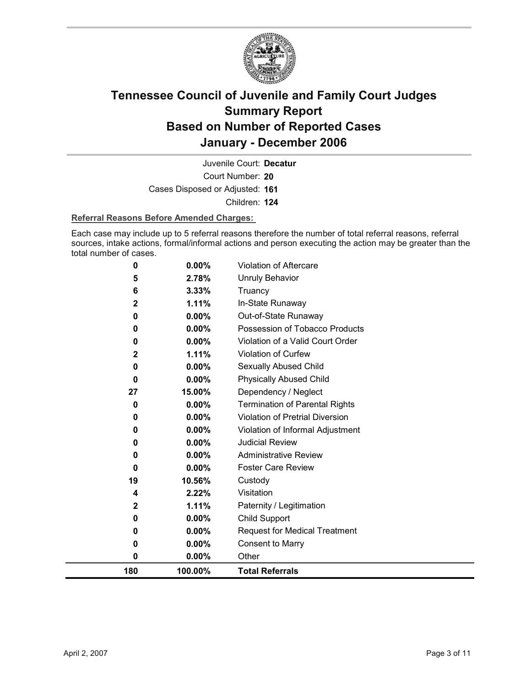

Court Number: **20** Juvenile Court: **Decatur** Cases Disposed or Adjusted: **161** Children: **124**

#### **Referral Reasons Before Amended Charges:**

Each case may include up to 5 referral reasons therefore the number of total referral reasons, referral sources, intake actions, formal/informal actions and person executing the action may be greater than the total number of cases.

| 0<br>19<br>4<br>2<br>0<br>0<br>0<br>0 | 0.00%<br>10.56%<br>2.22%<br>1.11%<br>0.00%<br>$0.00\%$<br>0.00%<br>0.00%       | <b>Foster Care Review</b><br>Custody<br>Visitation<br>Paternity / Legitimation<br><b>Child Support</b><br><b>Request for Medical Treatment</b><br><b>Consent to Marry</b><br>Other |
|---------------------------------------|--------------------------------------------------------------------------------|------------------------------------------------------------------------------------------------------------------------------------------------------------------------------------|
|                                       |                                                                                |                                                                                                                                                                                    |
|                                       |                                                                                |                                                                                                                                                                                    |
|                                       |                                                                                |                                                                                                                                                                                    |
|                                       |                                                                                |                                                                                                                                                                                    |
|                                       |                                                                                |                                                                                                                                                                                    |
|                                       |                                                                                |                                                                                                                                                                                    |
|                                       |                                                                                |                                                                                                                                                                                    |
|                                       |                                                                                |                                                                                                                                                                                    |
| 0                                     | 0.00%                                                                          | <b>Administrative Review</b>                                                                                                                                                       |
| 0                                     | $0.00\%$                                                                       | <b>Judicial Review</b>                                                                                                                                                             |
| 0                                     | 0.00%                                                                          | Violation of Informal Adjustment                                                                                                                                                   |
| 0                                     | 0.00%                                                                          | Violation of Pretrial Diversion                                                                                                                                                    |
| 0                                     |                                                                                | <b>Termination of Parental Rights</b>                                                                                                                                              |
|                                       |                                                                                | Dependency / Neglect                                                                                                                                                               |
|                                       |                                                                                | <b>Physically Abused Child</b>                                                                                                                                                     |
|                                       |                                                                                | Sexually Abused Child                                                                                                                                                              |
|                                       |                                                                                | <b>Violation of Curfew</b>                                                                                                                                                         |
|                                       |                                                                                | Violation of a Valid Court Order                                                                                                                                                   |
|                                       |                                                                                | Possession of Tobacco Products                                                                                                                                                     |
|                                       |                                                                                | Out-of-State Runaway                                                                                                                                                               |
|                                       |                                                                                | Truancy<br>In-State Runaway                                                                                                                                                        |
|                                       |                                                                                | <b>Unruly Behavior</b>                                                                                                                                                             |
|                                       | 0.00%                                                                          | <b>Violation of Aftercare</b>                                                                                                                                                      |
|                                       | 0<br>5<br>6<br>$\overline{2}$<br>0<br>0<br>0<br>$\overline{2}$<br>0<br>0<br>27 | 2.78%<br>3.33%<br>1.11%<br>0.00%<br>$0.00\%$<br>0.00%<br>1.11%<br>0.00%<br>0.00%<br>15.00%<br>0.00%                                                                                |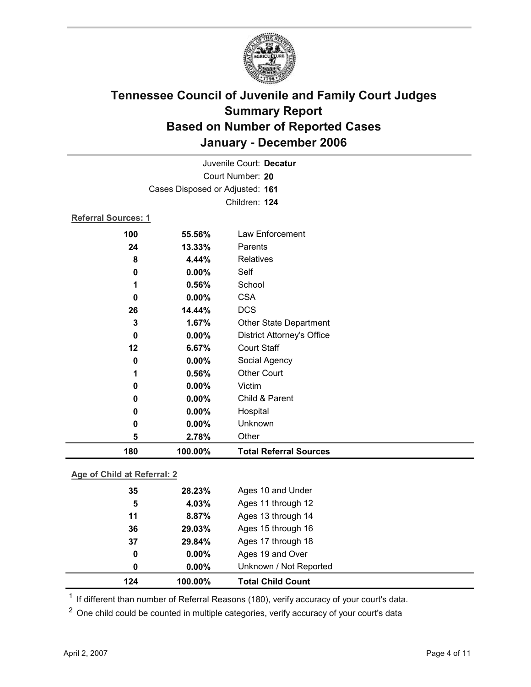

|                            | Juvenile Court: Decatur         |                                   |  |  |
|----------------------------|---------------------------------|-----------------------------------|--|--|
|                            |                                 | Court Number: 20                  |  |  |
|                            | Cases Disposed or Adjusted: 161 |                                   |  |  |
|                            |                                 | Children: 124                     |  |  |
| <b>Referral Sources: 1</b> |                                 |                                   |  |  |
| 100                        | 55.56%                          | Law Enforcement                   |  |  |
| 24                         | 13.33%                          | Parents                           |  |  |
| 8                          | 4.44%                           | <b>Relatives</b>                  |  |  |
| 0                          | 0.00%                           | Self                              |  |  |
| 1                          | 0.56%                           | School                            |  |  |
| 0                          | 0.00%                           | <b>CSA</b>                        |  |  |
| 26                         | 14.44%                          | <b>DCS</b>                        |  |  |
| 3                          | 1.67%                           | <b>Other State Department</b>     |  |  |
| 0                          | 0.00%                           | <b>District Attorney's Office</b> |  |  |
| $12 \,$                    | 6.67%                           | <b>Court Staff</b>                |  |  |
| 0                          | 0.00%                           | Social Agency                     |  |  |
| 1                          | 0.56%                           | <b>Other Court</b>                |  |  |
| 0                          | 0.00%                           | Victim                            |  |  |
| 0                          | 0.00%                           | Child & Parent                    |  |  |
| 0                          | 0.00%                           | Hospital                          |  |  |
| 0                          | 0.00%                           | Unknown                           |  |  |
| 5                          | 2.78%                           | Other                             |  |  |
| 180                        | 100.00%                         | <b>Total Referral Sources</b>     |  |  |

### **Age of Child at Referral: 2**

| 124 | 100.00%  | <b>Total Child Count</b> |
|-----|----------|--------------------------|
| 0   | $0.00\%$ | Unknown / Not Reported   |
| 0   | $0.00\%$ | Ages 19 and Over         |
| 37  | 29.84%   | Ages 17 through 18       |
| 36  | 29.03%   | Ages 15 through 16       |
| 11  | 8.87%    | Ages 13 through 14       |
| 5   | 4.03%    | Ages 11 through 12       |
| 35  | 28.23%   | Ages 10 and Under        |
|     |          |                          |

<sup>1</sup> If different than number of Referral Reasons (180), verify accuracy of your court's data.

<sup>2</sup> One child could be counted in multiple categories, verify accuracy of your court's data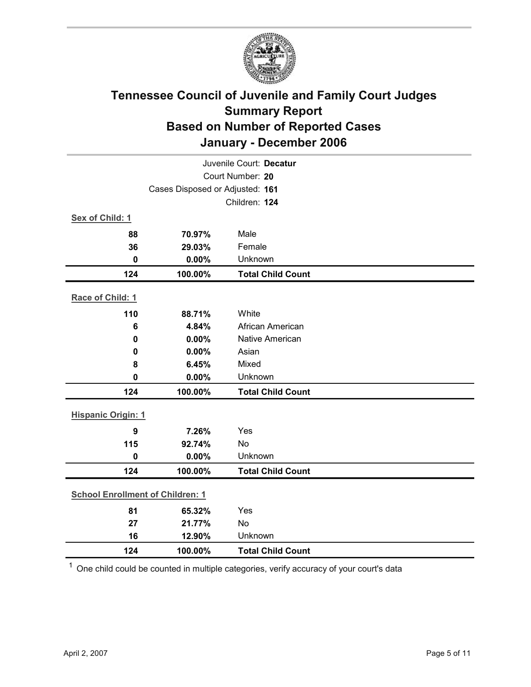

|                                         | Juvenile Court: Decatur |                          |  |  |
|-----------------------------------------|-------------------------|--------------------------|--|--|
| Court Number: 20                        |                         |                          |  |  |
| Cases Disposed or Adjusted: 161         |                         |                          |  |  |
|                                         |                         | Children: 124            |  |  |
| Sex of Child: 1                         |                         |                          |  |  |
| 88                                      | 70.97%                  | Male                     |  |  |
| 36                                      | 29.03%                  | Female                   |  |  |
| $\mathbf 0$                             | 0.00%                   | Unknown                  |  |  |
| 124                                     | 100.00%                 | <b>Total Child Count</b> |  |  |
| Race of Child: 1                        |                         |                          |  |  |
| 110                                     | 88.71%                  | White                    |  |  |
| $6\phantom{1}6$                         | 4.84%                   | African American         |  |  |
| $\bf{0}$                                | 0.00%                   | Native American          |  |  |
| 0                                       | 0.00%                   | Asian                    |  |  |
| 8                                       | 6.45%                   | Mixed                    |  |  |
| $\mathbf 0$                             | 0.00%                   | Unknown                  |  |  |
| 124                                     | 100.00%                 | <b>Total Child Count</b> |  |  |
| <b>Hispanic Origin: 1</b>               |                         |                          |  |  |
| $\boldsymbol{9}$                        | 7.26%                   | Yes                      |  |  |
| 115                                     | 92.74%                  | No                       |  |  |
| $\mathbf{0}$                            | 0.00%                   | Unknown                  |  |  |
| 124                                     | 100.00%                 | <b>Total Child Count</b> |  |  |
| <b>School Enrollment of Children: 1</b> |                         |                          |  |  |
| 81                                      |                         | Yes                      |  |  |
| 27                                      | 65.32%<br>21.77%        | No                       |  |  |
| 16                                      | 12.90%                  | Unknown                  |  |  |
| 124                                     | 100.00%                 | <b>Total Child Count</b> |  |  |
|                                         |                         |                          |  |  |

 $1$  One child could be counted in multiple categories, verify accuracy of your court's data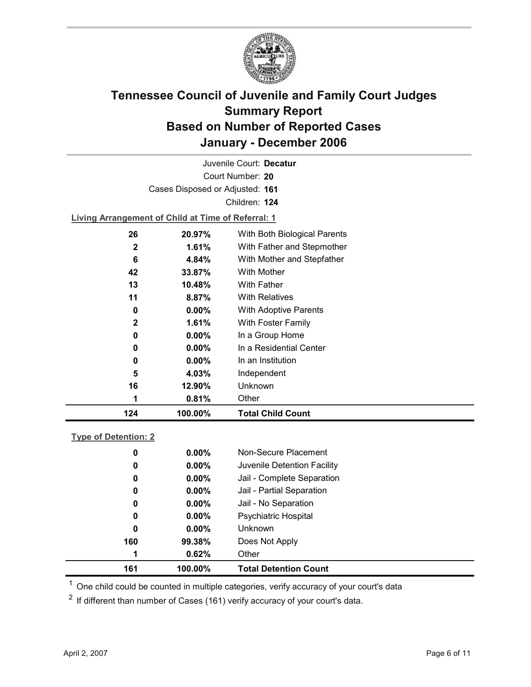

Court Number: **20** Juvenile Court: **Decatur** Cases Disposed or Adjusted: **161** Children: **124 Living Arrangement of Child at Time of Referral: 1 26 20.97%** With Both Biological Parents **2 1.61%** With Father and Stepmother **6 4.84%** With Mother and Stepfather **42 33.87%** With Mother **13 10.48%** With Father

| 124 | 100.00%  | <b>Total Child Count</b> |
|-----|----------|--------------------------|
| 1   | 0.81%    | Other                    |
| 16  | 12.90%   | Unknown                  |
| 5   | 4.03%    | Independent              |
| 0   | $0.00\%$ | In an Institution        |
| 0   | $0.00\%$ | In a Residential Center  |
| 0   | $0.00\%$ | In a Group Home          |
| 2   | 1.61%    | With Foster Family       |
| 0   | $0.00\%$ | With Adoptive Parents    |
| 11  | 8.87%    | <b>With Relatives</b>    |
| IJ  | IV.4070  | VVILII FALICI            |

### **Type of Detention: 2**

| 161 | 100.00%  | <b>Total Detention Count</b> |
|-----|----------|------------------------------|
| 1   | 0.62%    | Other                        |
| 160 | 99.38%   | Does Not Apply               |
| 0   | $0.00\%$ | <b>Unknown</b>               |
| 0   | $0.00\%$ | <b>Psychiatric Hospital</b>  |
| 0   | $0.00\%$ | Jail - No Separation         |
| 0   | $0.00\%$ | Jail - Partial Separation    |
| 0   | $0.00\%$ | Jail - Complete Separation   |
| 0   | $0.00\%$ | Juvenile Detention Facility  |
| 0   | $0.00\%$ | Non-Secure Placement         |
|     |          |                              |

 $<sup>1</sup>$  One child could be counted in multiple categories, verify accuracy of your court's data</sup>

 $2$  If different than number of Cases (161) verify accuracy of your court's data.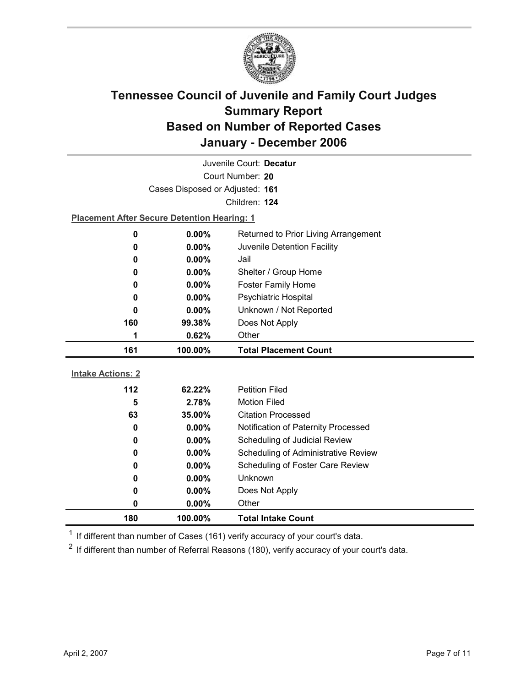

| Juvenile Court: Decatur                        |                                                    |                                            |  |  |
|------------------------------------------------|----------------------------------------------------|--------------------------------------------|--|--|
| Court Number: 20                               |                                                    |                                            |  |  |
|                                                | Cases Disposed or Adjusted: 161                    |                                            |  |  |
|                                                |                                                    | Children: 124                              |  |  |
|                                                | <b>Placement After Secure Detention Hearing: 1</b> |                                            |  |  |
| 0                                              | $0.00\%$<br>Returned to Prior Living Arrangement   |                                            |  |  |
| 0.00%<br>Juvenile Detention Facility<br>0      |                                                    |                                            |  |  |
| 0                                              | $0.00\%$<br>Jail                                   |                                            |  |  |
| 0                                              | 0.00%<br>Shelter / Group Home                      |                                            |  |  |
| 0                                              | Foster Family Home<br>$0.00\%$                     |                                            |  |  |
| 0                                              | <b>Psychiatric Hospital</b><br>0.00%               |                                            |  |  |
| Unknown / Not Reported<br>0.00%<br>0           |                                                    |                                            |  |  |
| 160<br>99.38%<br>Does Not Apply                |                                                    |                                            |  |  |
| 1                                              | Other<br>0.62%                                     |                                            |  |  |
| 161<br>100.00%<br><b>Total Placement Count</b> |                                                    |                                            |  |  |
|                                                |                                                    |                                            |  |  |
|                                                |                                                    |                                            |  |  |
| <b>Intake Actions: 2</b>                       |                                                    |                                            |  |  |
| 112                                            | 62.22%                                             | <b>Petition Filed</b>                      |  |  |
| 5                                              | 2.78%                                              | <b>Motion Filed</b>                        |  |  |
| 63                                             | 35.00%                                             | <b>Citation Processed</b>                  |  |  |
| 0                                              | $0.00\%$                                           | Notification of Paternity Processed        |  |  |
| 0                                              | 0.00%                                              | Scheduling of Judicial Review              |  |  |
| 0                                              | $0.00\%$                                           | <b>Scheduling of Administrative Review</b> |  |  |
| 0                                              | 0.00%                                              | Scheduling of Foster Care Review           |  |  |
| 0                                              | 0.00%                                              | Unknown                                    |  |  |
| 0                                              | $0.00\%$                                           | Does Not Apply                             |  |  |
| 0<br>180                                       | 0.00%<br>100.00%                                   | Other<br><b>Total Intake Count</b>         |  |  |

 $1$  If different than number of Cases (161) verify accuracy of your court's data.

 $2$  If different than number of Referral Reasons (180), verify accuracy of your court's data.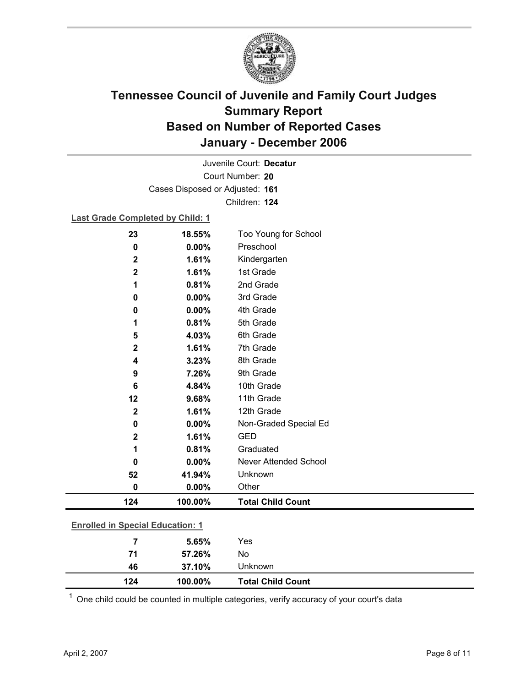

Court Number: **20** Juvenile Court: **Decatur** Cases Disposed or Adjusted: **161** Children: **124**

#### **Last Grade Completed by Child: 1**

| 23                                      | 18.55%  | Too Young for School         |
|-----------------------------------------|---------|------------------------------|
| 0                                       | 0.00%   | Preschool                    |
| $\mathbf 2$                             | 1.61%   | Kindergarten                 |
| $\mathbf 2$                             | 1.61%   | 1st Grade                    |
| 1                                       | 0.81%   | 2nd Grade                    |
| 0                                       | 0.00%   | 3rd Grade                    |
| 0                                       | 0.00%   | 4th Grade                    |
| 1                                       | 0.81%   | 5th Grade                    |
| 5                                       | 4.03%   | 6th Grade                    |
| $\mathbf 2$                             | 1.61%   | 7th Grade                    |
| 4                                       | 3.23%   | 8th Grade                    |
| 9                                       | 7.26%   | 9th Grade                    |
| 6                                       | 4.84%   | 10th Grade                   |
| 12                                      | 9.68%   | 11th Grade                   |
| $\mathbf 2$                             | 1.61%   | 12th Grade                   |
| 0                                       | 0.00%   | Non-Graded Special Ed        |
| $\mathbf 2$                             | 1.61%   | <b>GED</b>                   |
| 1                                       | 0.81%   | Graduated                    |
| 0                                       | 0.00%   | <b>Never Attended School</b> |
| 52                                      | 41.94%  | Unknown                      |
| 0                                       | 0.00%   | Other                        |
| 124                                     | 100.00% | <b>Total Child Count</b>     |
| <b>Enrolled in Special Education: 1</b> |         |                              |
|                                         |         |                              |
| 7                                       | 5.65%   | Yes                          |

| <sup>1</sup> One child could be counted in multiple categories, verify accuracy of your court's data |  |  |
|------------------------------------------------------------------------------------------------------|--|--|
|                                                                                                      |  |  |

**71 57.26%** No

**46 37.10%** Unknown

**124 100.00% Total Child Count**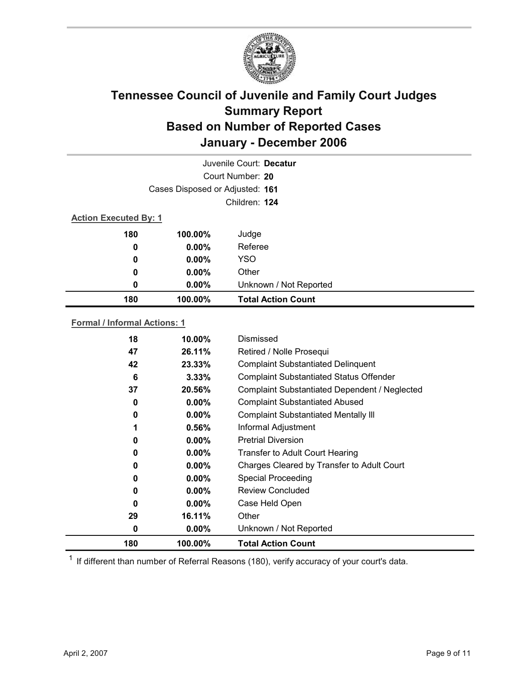

|                              |                                 | Juvenile Court: Decatur   |  |  |
|------------------------------|---------------------------------|---------------------------|--|--|
|                              |                                 | Court Number: 20          |  |  |
|                              | Cases Disposed or Adjusted: 161 |                           |  |  |
|                              |                                 | Children: 124             |  |  |
| <b>Action Executed By: 1</b> |                                 |                           |  |  |
| 180                          | 100.00%                         | Judge                     |  |  |
| 0                            | $0.00\%$                        | Referee                   |  |  |
| 0                            | $0.00\%$                        | <b>YSO</b>                |  |  |
| 0                            | $0.00\%$                        | Other                     |  |  |
| 0                            | 0.00%                           | Unknown / Not Reported    |  |  |
| 180                          | 100.00%                         | <b>Total Action Count</b> |  |  |
|                              |                                 |                           |  |  |

### **Formal / Informal Actions: 1**

| 18  | 10.00%   | Dismissed                                      |
|-----|----------|------------------------------------------------|
| 47  | 26.11%   | Retired / Nolle Prosequi                       |
| 42  | 23.33%   | <b>Complaint Substantiated Delinquent</b>      |
| 6   | 3.33%    | <b>Complaint Substantiated Status Offender</b> |
| 37  | 20.56%   | Complaint Substantiated Dependent / Neglected  |
| 0   | $0.00\%$ | <b>Complaint Substantiated Abused</b>          |
| 0   | $0.00\%$ | <b>Complaint Substantiated Mentally III</b>    |
| 1   | $0.56\%$ | Informal Adjustment                            |
| 0   | $0.00\%$ | <b>Pretrial Diversion</b>                      |
| 0   | $0.00\%$ | <b>Transfer to Adult Court Hearing</b>         |
| 0   | $0.00\%$ | Charges Cleared by Transfer to Adult Court     |
| 0   | $0.00\%$ | <b>Special Proceeding</b>                      |
| 0   | $0.00\%$ | <b>Review Concluded</b>                        |
| 0   | $0.00\%$ | Case Held Open                                 |
| 29  | 16.11%   | Other                                          |
| 0   | $0.00\%$ | Unknown / Not Reported                         |
| 180 | 100.00%  | <b>Total Action Count</b>                      |

 $1$  If different than number of Referral Reasons (180), verify accuracy of your court's data.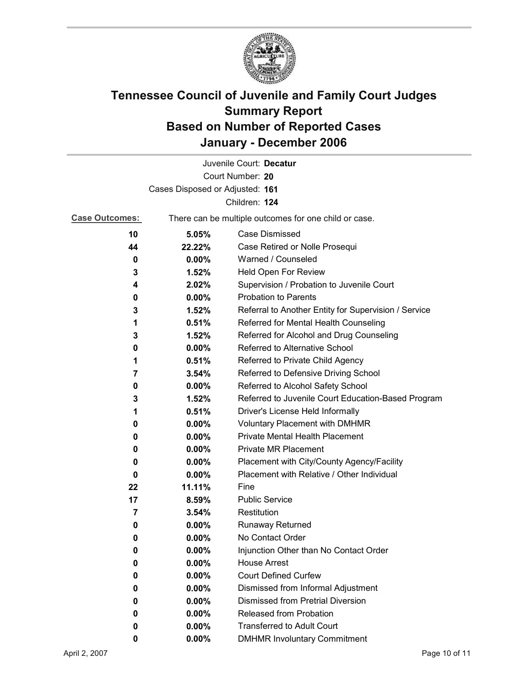

|                                 |                                                       | Juvenile Court: Decatur                              |  |  |
|---------------------------------|-------------------------------------------------------|------------------------------------------------------|--|--|
|                                 |                                                       | Court Number: 20                                     |  |  |
| Cases Disposed or Adjusted: 161 |                                                       |                                                      |  |  |
|                                 |                                                       | Children: 124                                        |  |  |
| <b>Case Outcomes:</b>           | There can be multiple outcomes for one child or case. |                                                      |  |  |
| 10                              | 5.05%                                                 | <b>Case Dismissed</b>                                |  |  |
| 44                              | 22.22%                                                | Case Retired or Nolle Prosequi                       |  |  |
| 0                               | 0.00%                                                 | Warned / Counseled                                   |  |  |
| 3                               | 1.52%                                                 | Held Open For Review                                 |  |  |
| 4                               | 2.02%                                                 | Supervision / Probation to Juvenile Court            |  |  |
| 0                               | 0.00%                                                 | <b>Probation to Parents</b>                          |  |  |
| 3                               | 1.52%                                                 | Referral to Another Entity for Supervision / Service |  |  |
| 1                               | 0.51%                                                 | Referred for Mental Health Counseling                |  |  |
| 3                               | 1.52%                                                 | Referred for Alcohol and Drug Counseling             |  |  |
| 0                               | 0.00%                                                 | Referred to Alternative School                       |  |  |
| 1                               | 0.51%                                                 | Referred to Private Child Agency                     |  |  |
| 7                               | 3.54%                                                 | Referred to Defensive Driving School                 |  |  |
| 0                               | $0.00\%$                                              | Referred to Alcohol Safety School                    |  |  |
| 3                               | 1.52%                                                 | Referred to Juvenile Court Education-Based Program   |  |  |
| 1                               | 0.51%                                                 | Driver's License Held Informally                     |  |  |
| 0                               | $0.00\%$                                              | <b>Voluntary Placement with DMHMR</b>                |  |  |
| 0                               | 0.00%                                                 | Private Mental Health Placement                      |  |  |
| 0                               | $0.00\%$                                              | <b>Private MR Placement</b>                          |  |  |
| 0                               | $0.00\%$                                              | Placement with City/County Agency/Facility           |  |  |
| 0                               | $0.00\%$                                              | Placement with Relative / Other Individual           |  |  |
| 22                              | 11.11%                                                | Fine                                                 |  |  |
| 17                              | 8.59%                                                 | <b>Public Service</b>                                |  |  |
| 7                               | 3.54%                                                 | Restitution                                          |  |  |
| 0                               | $0.00\%$                                              | <b>Runaway Returned</b>                              |  |  |
| 0                               | 0.00%                                                 | No Contact Order                                     |  |  |
| 0                               | 0.00%                                                 | Injunction Other than No Contact Order               |  |  |
| 0                               | 0.00%                                                 | <b>House Arrest</b>                                  |  |  |
| 0                               | $0.00\%$                                              | <b>Court Defined Curfew</b>                          |  |  |
| 0                               | 0.00%                                                 | Dismissed from Informal Adjustment                   |  |  |
| 0                               | 0.00%                                                 | <b>Dismissed from Pretrial Diversion</b>             |  |  |
| 0                               | 0.00%                                                 | Released from Probation                              |  |  |
| 0                               | 0.00%                                                 | <b>Transferred to Adult Court</b>                    |  |  |
| 0                               | $0.00\%$                                              | <b>DMHMR Involuntary Commitment</b>                  |  |  |